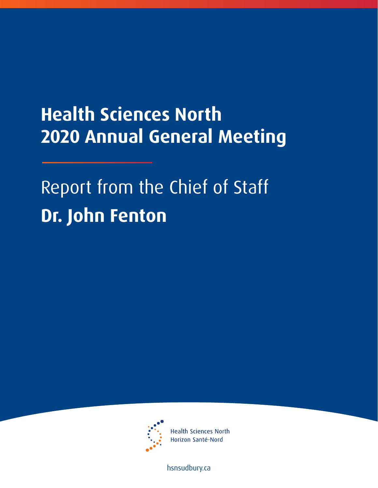## **Health Sciences North 2020 Annual General Meeting**

## Report from the Chief of Staff **Dr. John Fenton**



**Health Sciences North** Horizon Santé-Nord

[hsnsudbury.ca](www.hsnsudbury.ca)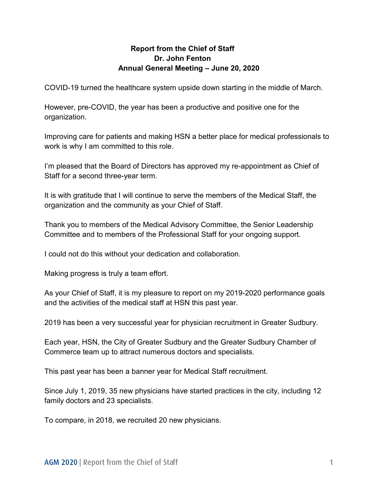## **Report from the Chief of Staff Dr. John Fenton Annual General Meeting – June 20, 2020**

COVID-19 turned the healthcare system upside down starting in the middle of March.

However, pre-COVID, the year has been a productive and positive one for the organization.

Improving care for patients and making HSN a better place for medical professionals to work is why I am committed to this role.

I'm pleased that the Board of Directors has approved my re-appointment as Chief of Staff for a second three-year term.

It is with gratitude that I will continue to serve the members of the Medical Staff, the organization and the community as your Chief of Staff.

Thank you to members of the Medical Advisory Committee, the Senior Leadership Committee and to members of the Professional Staff for your ongoing support.

I could not do this without your dedication and collaboration.

Making progress is truly a team effort.

As your Chief of Staff, it is my pleasure to report on my 2019-2020 performance goals and the activities of the medical staff at HSN this past year.

2019 has been a very successful year for physician recruitment in Greater Sudbury.

Each year, HSN, the City of Greater Sudbury and the Greater Sudbury Chamber of Commerce team up to attract numerous doctors and specialists.

This past year has been a banner year for Medical Staff recruitment.

Since July 1, 2019, 35 new physicians have started practices in the city, including 12 family doctors and 23 specialists.

To compare, in 2018, we recruited 20 new physicians.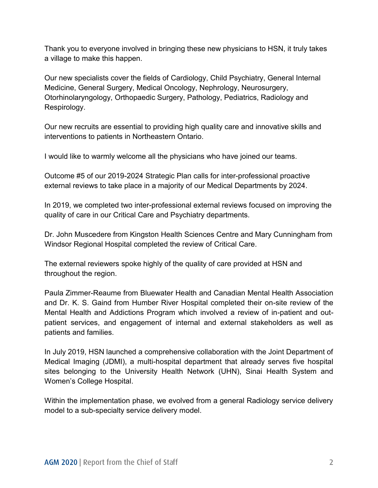Thank you to everyone involved in bringing these new physicians to HSN, it truly takes a village to make this happen.

Our new specialists cover the fields of Cardiology, Child Psychiatry, General Internal Medicine, General Surgery, Medical Oncology, Nephrology, Neurosurgery, Otorhinolaryngology, Orthopaedic Surgery, Pathology, Pediatrics, Radiology and Respirology.

Our new recruits are essential to providing high quality care and innovative skills and interventions to patients in Northeastern Ontario.

I would like to warmly welcome all the physicians who have joined our teams.

Outcome #5 of our 2019-2024 Strategic Plan calls for inter-professional proactive external reviews to take place in a majority of our Medical Departments by 2024.

In 2019, we completed two inter-professional external reviews focused on improving the quality of care in our Critical Care and Psychiatry departments.

Dr. John Muscedere from Kingston Health Sciences Centre and Mary Cunningham from Windsor Regional Hospital completed the review of Critical Care.

The external reviewers spoke highly of the quality of care provided at HSN and throughout the region.

Paula Zimmer-Reaume from Bluewater Health and Canadian Mental Health Association and Dr. K. S. Gaind from Humber River Hospital completed their on-site review of the Mental Health and Addictions Program which involved a review of in-patient and outpatient services, and engagement of internal and external stakeholders as well as patients and families.

In July 2019, HSN launched a comprehensive collaboration with the Joint Department of Medical Imaging (JDMI), a multi-hospital department that already serves five hospital sites belonging to the University Health Network (UHN), Sinai Health System and Women's College Hospital.

Within the implementation phase, we evolved from a general Radiology service delivery model to a sub-specialty service delivery model.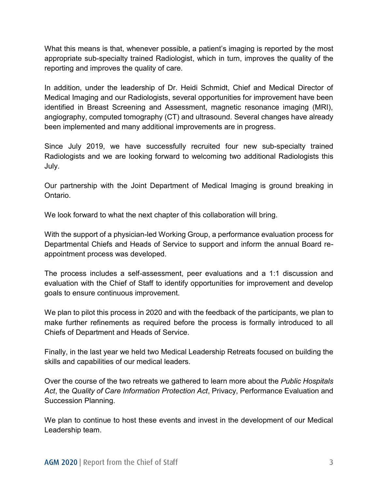What this means is that, whenever possible, a patient's imaging is reported by the most appropriate sub-specialty trained Radiologist, which in turn, improves the quality of the reporting and improves the quality of care.

In addition, under the leadership of Dr. Heidi Schmidt, Chief and Medical Director of Medical Imaging and our Radiologists, several opportunities for improvement have been identified in Breast Screening and Assessment, magnetic resonance imaging (MRI), angiography, computed tomography (CT) and ultrasound. Several changes have already been implemented and many additional improvements are in progress.

Since July 2019, we have successfully recruited four new sub-specialty trained Radiologists and we are looking forward to welcoming two additional Radiologists this July.

Our partnership with the Joint Department of Medical Imaging is ground breaking in Ontario.

We look forward to what the next chapter of this collaboration will bring.

With the support of a physician-led Working Group, a performance evaluation process for Departmental Chiefs and Heads of Service to support and inform the annual Board reappointment process was developed.

The process includes a self-assessment, peer evaluations and a 1:1 discussion and evaluation with the Chief of Staff to identify opportunities for improvement and develop goals to ensure continuous improvement.

We plan to pilot this process in 2020 and with the feedback of the participants, we plan to make further refinements as required before the process is formally introduced to all Chiefs of Department and Heads of Service.

Finally, in the last year we held two Medical Leadership Retreats focused on building the skills and capabilities of our medical leaders.

Over the course of the two retreats we gathered to learn more about the *Public Hospitals Act*, the *Quality of Care Information Protection Act*, Privacy, Performance Evaluation and Succession Planning.

We plan to continue to host these events and invest in the development of our Medical Leadership team.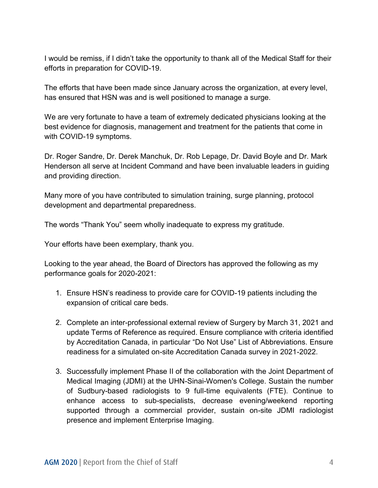I would be remiss, if I didn't take the opportunity to thank all of the Medical Staff for their efforts in preparation for COVID-19.

The efforts that have been made since January across the organization, at every level, has ensured that HSN was and is well positioned to manage a surge.

We are very fortunate to have a team of extremely dedicated physicians looking at the best evidence for diagnosis, management and treatment for the patients that come in with COVID-19 symptoms.

Dr. Roger Sandre, Dr. Derek Manchuk, Dr. Rob Lepage, Dr. David Boyle and Dr. Mark Henderson all serve at Incident Command and have been invaluable leaders in guiding and providing direction.

Many more of you have contributed to simulation training, surge planning, protocol development and departmental preparedness.

The words "Thank You" seem wholly inadequate to express my gratitude.

Your efforts have been exemplary, thank you.

Looking to the year ahead, the Board of Directors has approved the following as my performance goals for 2020-2021:

- 1. Ensure HSN's readiness to provide care for COVID-19 patients including the expansion of critical care beds.
- 2. Complete an inter-professional external review of Surgery by March 31, 2021 and update Terms of Reference as required. Ensure compliance with criteria identified by Accreditation Canada, in particular "Do Not Use" List of Abbreviations. Ensure readiness for a simulated on-site Accreditation Canada survey in 2021-2022.
- 3. Successfully implement Phase II of the collaboration with the Joint Department of Medical Imaging (JDMI) at the UHN-Sinai-Women's College. Sustain the number of Sudbury-based radiologists to 9 full-time equivalents (FTE). Continue to enhance access to sub-specialists, decrease evening/weekend reporting supported through a commercial provider, sustain on-site JDMI radiologist presence and implement Enterprise Imaging.